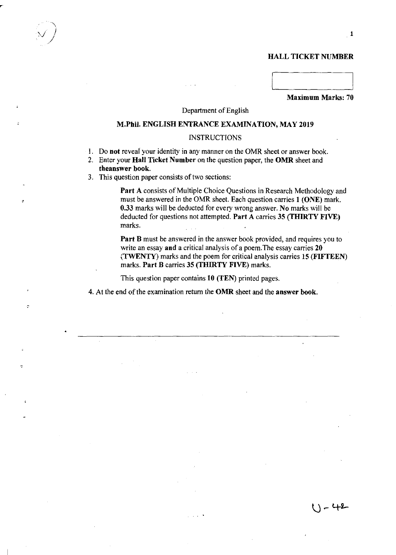# HALL TICKET NUMBER

Maximum Marks: 70

#### Department of English

#### M.Phii. ENGLISH ENTRANCE EXAMINATION, MAY 2019

#### **INSTRUCTIONS**

- 1. Do not reveal your identity in any manner on the OMR sheet or answer book.
- 2. Enter your Hall Ticket Number on the question paper, the OMR sheet and theanswer book.
- 3. This question paper consists of two sections:

Part A consists of Multiple Choice Questions in Research Methodology and must be answered in the OMR sheet. Each question carries 1 (ONE) mark. 0.33 marks will be deducted for every wrong answer. No marks will be deducted for questions not attempted. Part A carries 35 (THIRTY FIVE) marks.

Part B must be answered in the answer book provided, and requires you to write an essay and a critical analysis of a poem. The essay carries 20 (TWENTY) marks and the poem for critical analysis carries 15 (FIFTEEN) marks. Part B carries 35 (THIRTY FIVE) marks.

This question paper contains 10 (TEN) printed pages.

4. At the end of the examination return the OMR sheet and the answer book.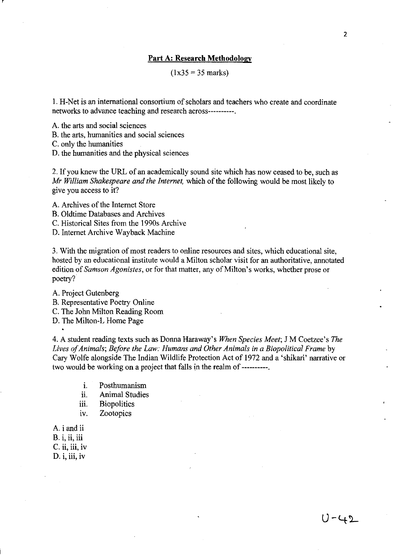#### **Part A: Research Methodology**

 $(1x35 = 35 \text{ marks})$ 

**I.** H-Net is an international consortium of scholars and teachers who create and coordinate networks to advance teaching and research across----------.

A. the arts and social sciences

B. the arts, humanities and social sciences

C. only the humanities

r

D. the humanities and the physical sciences

2. If you knew the URL of an academically sound site which has now ceased to be, such as *Mr William Shakespeare and the Internet,* which of the following would be most likely to give you access to it?

A. Archives of the Internet Store

B. Oldtime Databases and Archives

C. Historical Sites from the 1990s Archive

D. Internet Archive Wayback Machine

3. With the migration of most readers to online resources and sites, which educational site, hosted by an educational institute would a Milton scholar visit for an authoritative, annotated edition of *Samson Agonistes,* or for that matter, any of Milton's works, whether prose or poetry?

A. Project Gutenberg

B. Representative Poetry Online

C. The John Milton Reading Room

D. The Milton-L Home Page

4. A student reading texts such as Donna Haraway's *When Species Meet;* J M Coetzee's *The Lives of Animals; Before the Law: Humans and Other Animals in a Biopoliticai Frame* by Cary Wolfe alongside The Indian Wildlife Protection Act of 1972 and a 'shikari' narrative or two would be working on a project that falls in the realm of ----------.

1. Posthumanism

ii. Animal Studies

- iii. Biopolitics
- iv. Zootopics
- A. i and ii

B. i, ii, iii

C. ii, iii, iv

 $D. i, iii, iv$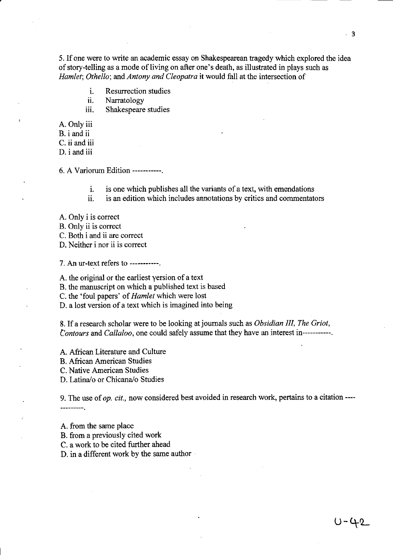5. If one were to write an academic essay on Shakespearean tragedy which explored the idea of story-telling as a mode of living on after one's death, as illustrated in plays such as *Hamlet; Othello;* and *Antony and Cleopatra* it would fall at the intersection of

- i. Resurrection studies
- ii. Narratology
- iii. Shakespeare studies

A. Only iii

B. i and ii

C. ii and iii

D. i and iii

6. A Variorum Edition -----------.

- i. is one which publishes all the variants of a text, with emendations
- ii. is an edition which includes annotations by critics and commentators
- A. Only i is correct
- B. Only ii is correct

C. Both i and ii are correct

D. Neither i nor ii is correct

7. An ur-text refers to -----------.

A. the original or the earliest version of a text

B. the manuscript on which a published text is based

C. the 'foul papers' of *Hamlet* which were lost

D. a lost version of a text which is imagined into being

8. If a research scholar were to be looking at journals such as *Obsidian III, The Griot, Contours* and *Callaloo,* one could safely assume that they have an interest in-----------.

A. African Literature and Culture

B. African American Studies

C. Native American Studies

D. Latina/o or Chicana/o Studies

9. The use of *op. cit.,* now considered best avoided in research work, pertains to a citation ---- ----------

A. from the same place

B. from a previously cited work

C. a work to be cited further ahead

D. in a different work by the same author .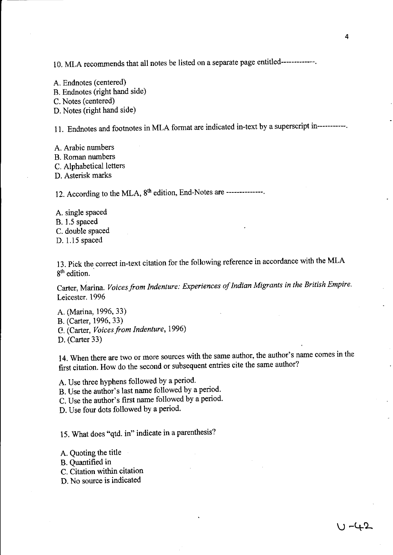10. MLA recommends that all notes be listed on a separate page entitled-------------.

A. Endnotes (centered) B. Endnotes (right hand side) C. Notes (centered) D. Notes (right hand side)

11. Endnotes and footnotes **in** MLA format are indicated in-text by a superscript in-----------.

A. Arabic numbers B. Roman numbers C. Alphabetical letters D. Asterisk marks

12. According to the MLA,  $8<sup>th</sup>$  edition, End-Notes are --------------.

A. single spaced B. 1.5 spaced C. double spaced D. 1.15 spaced

13. Pick the correct in-text citation for the following reference in accordance with the MLA 8<sup>th</sup> edition.

Carter, Marina. *Voices from Indenture: Experiences 0/ Indian Migrants* in *the British Empire.*  Leicester. 1996

A. (Marina, 1996, 33) B. (Carter, 1996, 33) C. (Carter, *Voices/rom Indenture, 1996)* 

D. (Carter 33)

14. When there are two or more sources with the same author, the author's name comes in the first citation. How do the second or subsequent entries cite the same author?

A. Use three hyphens followed by a period.

B. Use the author's last name followed by a period.

C. Use the author's first name followed by a period.

D. Use four dots followed by a period.

15. What does "qtd. in" indicate in a parenthesis?

A. Quoting the title

B. Quantified in

- C. Citation within citation
- D. No source is indicated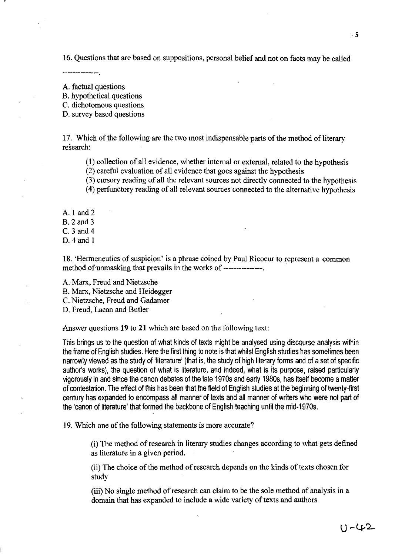16. Questions that are based on suppositions, personal belief and not on facts may be called

--------------

,

A. factual questions

B. hypothetical questions

C. dichotomous questions

D. survey based questions

17. Which of the following are the two most indispensable parts of the method of literary research:

(I) collection of all evidence, whether internal or external, related to the hypothesis

(2) careful evaluation of all evidence that goes against the hypothesis

(3) cursory reading of all the relevant sources not directly connected to the hypothesis (4) perfunctory reading of all relevant sources connected to the alternative hypothesis

A. I and 2

B. 2 and 3

C.3 and 4

D. 4 and I

18. 'Hermeneutics of suspicion' is a phrase coined by Paul Ricoeur to represent a common method of unmasking that prevails in the works of ----------------

A. Marx, Freud and Nietzsche

B. Marx, Nietzsche and Heidegger

C. Nietzsche, Freud and Gadamer

D. Freud, Lacan and Butler

Answer questions **19 to 21** which are based on the following text:

This brings us to the question of what kinds of texts might be analysed using discourse analysis within the frame of English studies. Here the first thing to note is that whilst English studies has sometimes been narrowly viewed as the study of 'literature' (that is, the study of high literary forms and of a set of specific author's works), the question of what is literature, and indeed, what is its purpose, raised particularly vigorously in and since the canon debates of the late 1970s and early 1980s, has itself become a matter of contestation. The effect of this has been that the field of English studies at the beginning of twenty-first century has expanded to encompass all manner of texts and all manner of writers who were not part of the 'canon of literature' that formed the backbone of English teaching until the mid-1970s.

19. Which one of the following statements is more accurate?

(i) The method of research in literary studies changes according to what gets defined as literature in a given period.

(ii) The choice of the method of research depends on the kinds of texts chosen for study

(iii) No single method of research can claim to be the sale method of analysis in a domain that has expanded to include a wide variety of texts and authors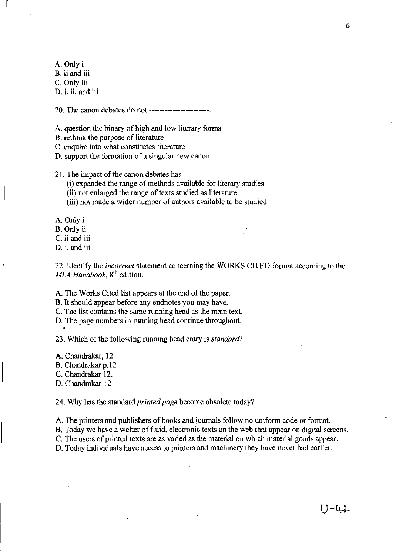A.Onlyi

l,

B. **ii** and iii

C. Only iii

D. i, ii, and iii

20. The canon debates do not -----------------------.

A. question the binary of high and low literary forms

B. rethink the purpose of literature

C. enquire into what constitutes literature

D. support the formation of a singular new canon

21. The impact of the canon debates has

(i) expanded the range of methods available for literary studies

(ii) not enlarged the range of texts studied as literature

(iii) not made a wider number of authors available to be studied

A. Only i

B. Only ii

C. ii and iii

D. i, and iii

22. Identify the *incorrect* statement concerning the WORKS CITED format according to the *MLA Handbook,* 8th edition.

A. The Works Cited list appears at the end of the paper.

B. It should appear before any endnotes you may have.

C. The list contains the same running head as the main text.

D. The page numbers in running head continue throughout.

23. Which of the following running head entry is *standarcI?* 

A. Chandrakar, 12

B. Chandrakar p.l2

C. Chandrakar 12.

D. Chandrakar 12

24. Why has the standard *printed page* become obsolete today?

A. The printers and publishers of books and journals follow no uniform code or format.

B. Today we have a welter of fluid, electronic texts on the web that appear on digital screens.

C. The users of printed texts are as varied as the material on which material goods appear.

D. Today individuals have access to printers and machinery they have never had earlier.

 $U - 42$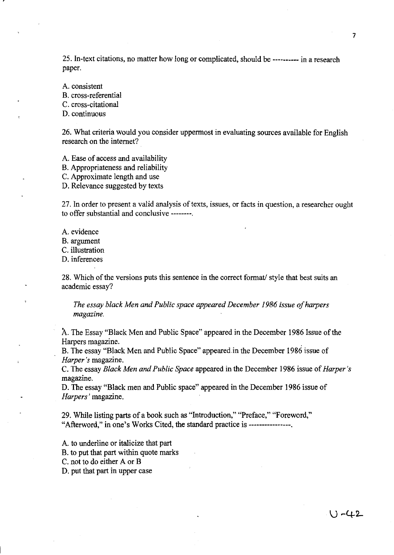25. In-text citations, no matter how long or complicated, should be ---------- in a research paper.

A. consistent B. cross-referential C. cross-citational D. continuous

26. What criteria would you consider uppermost in evaluating sources available for English research on the internet?

A. Ease of access and availability

B. Appropriateness and reliability

C. Approximate length and use

D. Relevance suggested by texts

27. **In** order to present a valid analysis of texts, issues, or facts in question, a researcher ought to offer substantial and conclusive --------.

A. evidence

B. argument

C. illustration

D. inferences

28. Which of the versions puts this sentence in the correct format/ style that best suits an academic essay?

*The essay black Men and Public space appeared December* 1986 *issue afharpers magazine.* 

A. The Essay "Black Men and Public Space" appeared in the December 1986 Issue of the Harpers magazine. .

B. The essay "Black Men and Public Space" appeared in the December 1986 issue of *Harper's* magazine.

C. The essay *Black Men and Public Space* appeared in the December 1986 issue of *Harper's*  magazine.

D. The essay "Black men and Public space" appeared in the December 1986 issue of *Harpers'* magazine.

29. While listing parts of a book such as "Introduction," "Preface," "Foreword," "Afterword," in one's Works Cited, the standard practice is -----------------

A. to underline or italicize that part B. to put that part within quote marks

C. not to do either A or B

D. put that part in upper case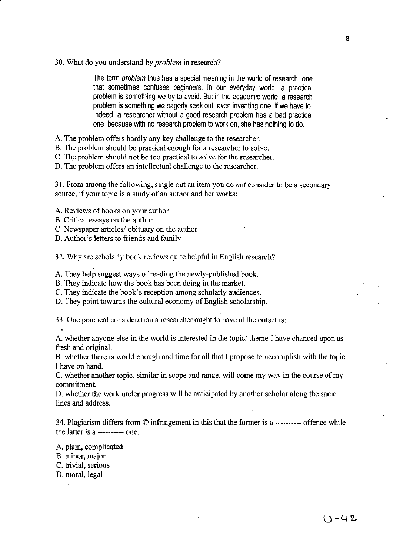30. What do you understand by *problem* in research?

The term problem thus has a special meaning in the world of research, one that sometimes confuses beginners. In our everyday world, a practical problem is something we try to avoid. But in the academic world, a research problem is something we eagerly seek out, even inventing one, if we have to. Indeed, a researcher without a good research problem has a bad practical one, because with no research problem to work on, she has nothing to do.

- A. The problem offers hardly any key challenge to the researcher.
- B. The problem should be practical enough for a researcher to solve.
- C. The problem should not be too practical to solve for the researcher.
- D. The problem offers an intellectual challenge to the researcher.

31. From among the following, single out an item you do *not* consider to be a secondary source, if your topic is a study of an author and her works:

- A. Reviews of books on your author
- B. Critical essays on the author
- C. Newspaper articles/ obituary on the author
- D. Author's letters to friends and family

32. Why are scholarly book reviews quite helpful in English research?

A. They help suggest ways of reading the newly-published book.

- B. They indicate how the book has been doing in the market.
- C. They indicate the book's reception among scholarly audiences.
- D. They point towards the cultural economy of English scholarship.

33. One practical consideration a researcher ought to have at the outset is:

A. whether anyone else in the world is interested in the topic/ theme I have chanced upon as fresh and original.

B. whether there is world enough and time for all that I propose to accomplish with the topic I have on hand.

C. whether another topic, similar in scope and range, will come my way in the course of my commitment.

D. whether the work under progress will be anticipated by another scholar along the same lines and address.

34. Plagiarism differs from © infringement in this that the former is a ---------- offence while the latter is a ---------- one.

- A. plain, complicated
- B. minor, major
- C. trivial, serious
- D. moral, legal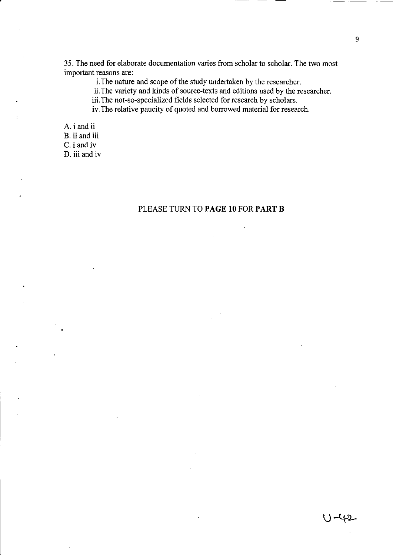35. The need for elaborate documentation varies from scholar to scholar. The two most important reasons are:

i. The nature and scope of the study undertaken by the researcher.

ii. The variety and kinds of source-texts and editions used by the researcher.

iii. The not-so-specialized fields selected for research by scholars.

iv. The relative paucity of quoted and borrowed material for research.

A. i and ii

B. ii and iii

C. i and iv

D. iii and iv

# PLEASE TURN TO **PAGE 10** FOR **PART B**

U-42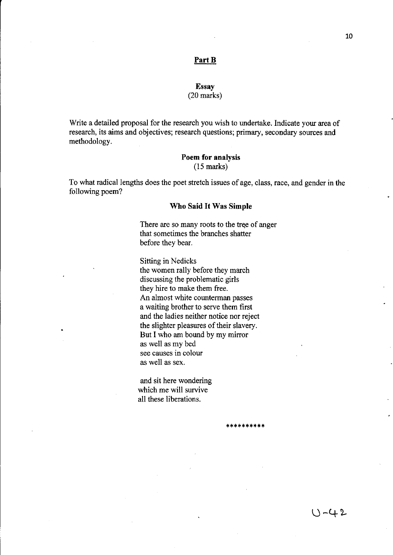#### **PartB**

#### Essay (20 marks)

Write a detailed proposal for the research you wish to undertake. Indicate your area of research, its aims and objectives; research questions; primary, secondary sources and methodology.

# **Poem for analysis**  (15 marks)

To what radical lengths does the poet stretch issues of age, class, race, and gender in the following poem?

#### **Who Said It Was Simple**

There are so many roots to the tree of anger that sometimes the branches shatter before they bear.

Sitting in Nedicks the women rally before they march discussing the problematic girls they hire to make them free. An almost white counterman passes a waiting brother to serve them first and the ladies neither notice nor reject the slighter pleasures of their slavery. But I who am bound by my mirror as well as my bed see causes in colour as well as sex.

\*\*\*\*\*\*\*\*\*\*

and sit here wondering which me will survive all these liberations.

 $U - 42$